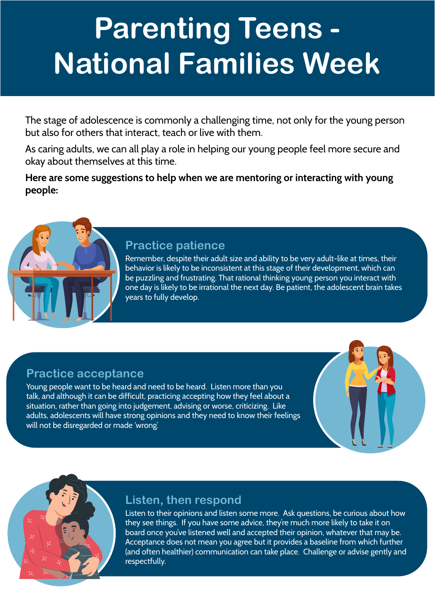# **Parenting Teens - National Families Week**

The stage of adolescence is commonly a challenging time, not only for the young person but also for others that interact, teach or live with them.

As caring adults, we can all play a role in helping our young people feel more secure and okay about themselves at this time.

**Here are some suggestions to help when we are mentoring or interacting with young people:**



#### **Practice patience**

Remember, despite their adult size and ability to be very adult-like at times, their behavior is likely to be inconsistent at this stage of their development, which can be puzzling and frustrating. That rational thinking young person you interact with one day is likely to be irrational the next day. Be patient, the adolescent brain takes years to fully develop.

# **Practice acceptance**

Young people want to be heard and need to be heard. Listen more than you talk, and although it can be difficult, practicing accepting how they feel about a situation, rather than going into judgement, advising or worse, criticizing. Like adults, adolescents will have strong opinions and they need to know their feelings will not be disregarded or made 'wrong'.



# **Listen, then respond**

Listen to their opinions and listen some more. Ask questions, be curious about how they see things. If you have some advice, they're much more likely to take it on board once you've listened well and accepted their opinion, whatever that may be. Acceptance does not mean you agree but it provides a baseline from which further (and often healthier) communication can take place. Challenge or advise gently and respectfully.